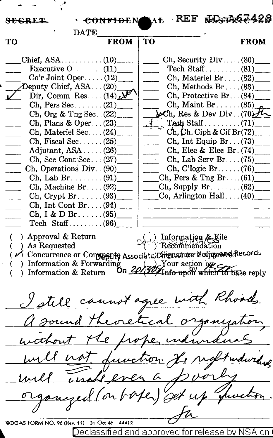SEGRET: · **CONFIDENAL:** REF & BS: PR62420  $\frac{DATE}{FROM}$  TO TO **FROM** TO **FROM**  $Chi$ , ASA  $\ldots$ ,  $\ldots$ ,  $(10)$  $Ch$ , Security Div ..... (80) Executive  $0 \ldots \ldots \ldots (11)$ Tech  $Stat$ ........ (81)  $Co'r$  Joint Oper ..... (12) Ch, Materiel Br .... (82)\_  $\Phi$  Deputy Chief, ASA ... (20)  $Ch, Methods Br. \ldots (83)$ Dir, Comm Res.  $(14)$ .  $Ch.$  Protective Br...  $(84)$ Ch, Pers Sec.......  $(21)$  $Ch.$  Maint  $Br. . . . . . (85)$ Ch, Org & Tng Sec.  $(22)$  $\Delta$ Ch. Res & Dev Div. (70) $\mathcal{H}$ Tech Staff .........  $(71)$ <br>Ch, Ch. Ciph & Cif Br $(72)$ Ch, Plans & Oper ...  $(23)$ Ch, Materiel Sec.... $(24)$ Ch, Fiscal Sec......  $(25)$ Ch, Int Equip  $Br... (73)$ Adjutant,  $ASA$ ..... $(26)$ Ch, Elec & Elec Br.  $(74)$ Ch, Sec Cont Sec.  $\ldots$  (27) Ch, Lab Serv Br.... $(75)$ Ch, Operations Div. . (90)  $Ch, C'logic Br. \ldots$ . (76) Ch, Lab Br... $(91)$ Ch, Pers & Tng Br....  $(61)$ Ch, Machine Br.  $\dots$  (92)  $Ch$ , Supply Br....... (62) Co, Arlington Hall ....  $(40)$ Ch, Crypt Br......  $(93)$ Ch, Int Cont Br.... $(94)$ Ch, I & D Br  $\ldots$  (95) Tech  $Stat$ ......... (96) ( ) Approval & Return  $\Box$ ( ) Information & File ( ) As Requested  $\Box$  ) -Recommendation  $\alpha$  *v* Concurrence or Compagnity Associate) Distant the interpreted Records () Information & Forwarding  $\alpha$  /  $\alpha$ /  $\alpha$  /  $\alpha$  /  $\alpha$  /  $\alpha$  /  $\alpha$  /  $\alpha$  /  $\alpha$  /  $\alpha$  /  $\alpha$  /  $\alpha$  /  $\alpha$  /  $\alpha$  /  $\alpha$  /  $\alpha$  /  $\alpha$ (a) Information & Forwarding  $\frac{20}{(29)}$  Vour action by  $\frac{1}{20}$ . Information & Return  $\frac{20}{(29)}$  Info upon which to base reply I still cannot agree with Rhoads. a sound theoretical organization wahout the proper individual will not function to night undwiding will unable even a poor organized (on boyer) set up quickon. WDGAS FORM NO. 96 (Rev. 11) 31 Oct 46 44412 eclassified and approved for release by N

,.J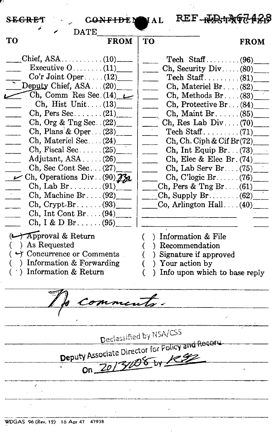| REF-RESTAGE426<br>S <del>EGRE</del> T.<br><b>CONFIDEMMAL</b>                                                                                                                                                                                                                                                                                                                                                                                                                                                                                                                                                                                                                                                                                         |                                                                                                                                                                                                                                                                                                                                                                                                                                                                                                                                                                                                                                                                       |
|------------------------------------------------------------------------------------------------------------------------------------------------------------------------------------------------------------------------------------------------------------------------------------------------------------------------------------------------------------------------------------------------------------------------------------------------------------------------------------------------------------------------------------------------------------------------------------------------------------------------------------------------------------------------------------------------------------------------------------------------------|-----------------------------------------------------------------------------------------------------------------------------------------------------------------------------------------------------------------------------------------------------------------------------------------------------------------------------------------------------------------------------------------------------------------------------------------------------------------------------------------------------------------------------------------------------------------------------------------------------------------------------------------------------------------------|
| <b>DATE</b><br>TО<br><b>FROM</b>                                                                                                                                                                                                                                                                                                                                                                                                                                                                                                                                                                                                                                                                                                                     | TО<br><b>FROM</b>                                                                                                                                                                                                                                                                                                                                                                                                                                                                                                                                                                                                                                                     |
| Executive $0 \ldots \ldots (11)$<br>$Co'r$ Joint Oper(12)<br>Deputy Chief, $ASA$ $(20)$<br>Ch, Comm Res Sec. $(14)$<br>Ch, Hist Unit $(13)$<br>$Ch, Pers Sec. \ldots (21)$<br>Ch, Org & Tng Sec. $(22)$<br>Ch, Plans & Oper (23)<br>Ch, Materiel Sec. (24)<br>Ch, Fiscal Sec $(25)$<br>Adjutant, $ASA$ $(26)$<br>$Ch,$ Sec Cont Sec $(27)$<br>$\angle$ Ch, Operations Div. (90) 730<br>$\text{Ch. Lab Br.} \dots \dots \dots \dots \dots \dots \dots \dots$<br>Ch, Machine Br. $(92)$<br>$\mathrm{Ch}$ , Crypt. Br. (93)<br>Ch, Int Cont Br. $(94)$<br>Ch, I & D Br $(95)$<br>$\longleftrightarrow$ Approval & Return<br>) As Requested<br>$($ $\rightarrow$ Concurrence or Comments<br>$($ ) Information & Forwarding<br>$( )$ Information & Return | $\chi$ , Security Div(80)<br>Ch, Materiel Br. $(82)$<br>$Ch, Methods Br. \ldots (83)$<br>$\overline{\phantom{0}}$<br>Ch, Protective Br. $(84)$<br>$Ch$ , Maint Br(85)<br>Ch, Res Lab Div $(70)$<br>$\text{Techn } \text{Staff } \ldots \ldots \ldots (71)$<br>Ch, Ch. Ciph & Cif Br(72)<br>$-$<br>Ch, Int Equip Br. $(73)$<br>$\overline{\phantom{a}}$<br>Ch, Elec & Elec Br. (74)<br>Ch, Lab Serv Br $(75)$<br>$Ch, C'logic Br. \ldots (76)$<br>$\chi$ Ch, Pers & Tng Br. $(61)$<br>Co, Arlington Hall $(40)$<br>) Information & File<br>(<br>) Recommendation<br>€<br>) Signature if approved<br>€<br>) Your action by<br>€<br>) Info upon which to base reply<br>€ |
| No comments.                                                                                                                                                                                                                                                                                                                                                                                                                                                                                                                                                                                                                                                                                                                                         |                                                                                                                                                                                                                                                                                                                                                                                                                                                                                                                                                                                                                                                                       |
|                                                                                                                                                                                                                                                                                                                                                                                                                                                                                                                                                                                                                                                                                                                                                      |                                                                                                                                                                                                                                                                                                                                                                                                                                                                                                                                                                                                                                                                       |
| Declassified by NSA/CSS                                                                                                                                                                                                                                                                                                                                                                                                                                                                                                                                                                                                                                                                                                                              |                                                                                                                                                                                                                                                                                                                                                                                                                                                                                                                                                                                                                                                                       |
| Deputy Associate Director for Policy and Record<br>On 2013/08 by 1992                                                                                                                                                                                                                                                                                                                                                                                                                                                                                                                                                                                                                                                                                |                                                                                                                                                                                                                                                                                                                                                                                                                                                                                                                                                                                                                                                                       |
|                                                                                                                                                                                                                                                                                                                                                                                                                                                                                                                                                                                                                                                                                                                                                      |                                                                                                                                                                                                                                                                                                                                                                                                                                                                                                                                                                                                                                                                       |
|                                                                                                                                                                                                                                                                                                                                                                                                                                                                                                                                                                                                                                                                                                                                                      |                                                                                                                                                                                                                                                                                                                                                                                                                                                                                                                                                                                                                                                                       |

 $\bar{r}$ 

 $\bar{z}$ 

 $\hat{\boldsymbol{\theta}}$ 

 $\sim 10^7$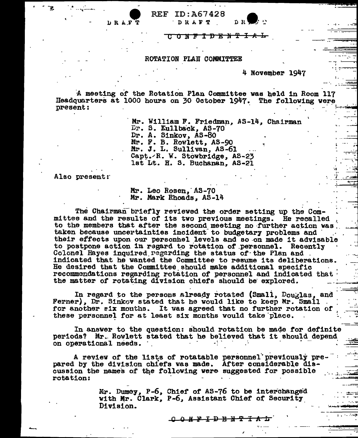

#### ROTATION PLAN COMMITTEE

#### 4 November 1947

A meeting of the Rotation Plan Committee was held in Room 117 Headquarters at 1000 hours on 30 October 1947. The following vere present:

> Mr. William F. Friedman, AS-14, Chairman Dr. S. Kullback, AS-70 Dr. A. Sinkov, AS-80 Mr. F. B. Rowlett, AS-90 Mr. J. L. Sullivan, AS-61 Capt. R. W. Stowbridge, AS-23 lst Lt. H. S. Buchanan, AS-21

Also present:

D R A F

### Mr. Leo Rosen. AS-70 Mr. Mark Rhoads, AS-14

The Chairman briefly reviewed the order setting up the Committee and the results of its two previous meetings. He recalled to the members that after the second meeting no further action was. taken because uncertainties incident to budgetary problems and their effects upon our personnel levels and so on made it advisable to postpone action in regard to rotation of personnel. Recently Colonel Hayes inquired regarding the status of the Plan and. indicated that he wanted the Committee to resume its deliberations. He desired that the Committee should make additional specific recommendations regarding rotation of personnel and indicated that the matter of rotating division chiefs should be explored.

In regard to the persons already rotated (Small, Douglas, and Ferner). Dr. Sinkov stated that he would like to keep Mr. Small for another six months. It was agreed that no further rotation of these personnel for at least six months would take place.

In answer to the question: should rotation be made for definite periods? Mr. Rowlett stated that he believed that it should depend on operational needs.

A review of the lists of rotatable personnel previously prepared by the division chiefs was made. After considerable discussion the names of the following were suggested for possible rotation:

> Mr. Dumey, P-6, Chief of AS-76 to be interchanged with Mr. Clark, P-6, Assistant Chief of Security Division.

> > <u>ር የአንንን የአንጉ</u>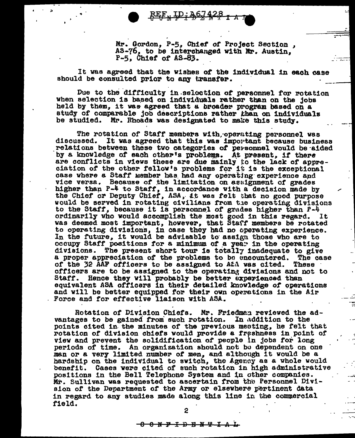Mr. Gordon, P-5, Chief of Project Section , AS-76, to be interchanged with Mr. Austin,  $P-5$ , Chief of  $AS-83$ .

It vas agreed that the Vishea of tbe individual in each case should be consulted prior to any transfer.

 $RE_{\mu}$  ID:  $26.7428$   $7.4$ 

Due to the difficulty in selection of personnel for rotation when selection is based on individuals rather than on the jobs held by them, it was agreed that a broader program based on a study of comparable job descr1pt1one rather than on individuals be studied. Mr. Rhoads was designated to make this study.

The rotation of Staff members with, operating personnel was discussed. It was agreed that this was important because business relations between these two categories of personnel vould be aided by a knowledge of each other's problems. At present, if there are conflicts in views these are due mainly to the lack of appre-<br>ciation of the other fellow's problems for it is the exceptional<br>case where a Staff member has had any operating experience and case vhere a Staff Member has had any operating experience and<br>vice versa. Because of the limitation on asuignment of grades<br>higher than P-4 to Staff, in accordance with a decision made by nigher than  $r-4$  to Staff, in accordance with a decision made by<br>the Chief or Deputy Chief, ASA, it was felt that no good purpose<br>would be served in rotating civilians from the operating divisions would be served in rotating civilians from the operating divisions to the Staff, because it is personnel of grades higher than  $P-\frac{1}{4}$ ordinarily vho would aecomplish the most good in this regard. It was deemed most important, however, that Staff members be rotated to operating divisions, in case they had no operating experience.<br>In the future, it would be advisable to assign those who are to occupy Staff positions for a minimum of a yea<sup>r</sup> in the operating divisions. The present short tour is totally inadequate to give a proper appreciation of the problems to be encountered. The case of the 32 AAF officers to be assigned to AEA was cited. These officers are to be assigned to the operating divisions and not to Staff. Hence they will probably be better experienced than equivalent ASA officers in their detailed knowledge of operations and will be better equipped for their own operations in the Air Force and for effective liaison with ASA.

Rotation of Division Chiefs. Mr. Friedmen reviewed the advantages to be gained from such rotation. In addition to the points cited in the minutes of the previous meating, he felt that rotation of division chiefs would provide a freshness in point of view and prevent the solidification of people in jobs for long periods of time. An organization should not bo dependent on one man or a very limited number of men. and although it vould be a hardship on the individual to sviteh. the Agency as a vhole would benefit. Cases were cited of such rotation in high administrative positions in the Bell Telephone System and in other companies. Mr. Sullivan was requested to ascertain from the Personnel Division of the Department of the Army or elsewhere pertinent data in regard to any studies made along this line in the commercial field.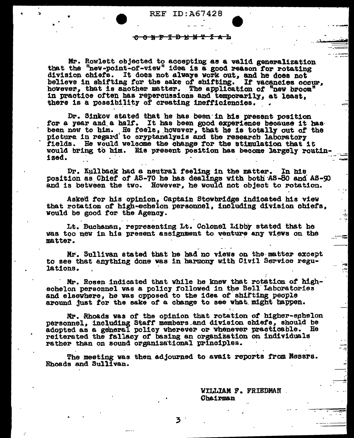REF ID:  $\lambda$ 67428

### <del>ዕ N F I D E N T L A L</del>

Mr. Rowlett objected to accepting as a valid generalization that the "new-point-of-view" idea is a good reason for rotating division chiefs. It does not always work out, and he does not believe in shifting for the sake of shifting. If vacancies occur, hovever. that is another matter. The application of "new broom" in practice often has repercussions and temporarily, at least, there is a possibility of creating inefficiencies.

Dr. Sinkov stated that he has been in his present position for a year and a half. It has been good experience because it has been new to him. He feels, however, that he is totally out of the picture in regard to cryptanalysis and the research laboratory fields. He would welcome the change for the stimulation that it would bring to him. His present position has become largely routin- $1zed.$ 

Dr. Kullback had a neutral feeling in the matter. In his position as Chief of AS-70 he has dealings with both AS-50 and AS-90 and is between the two. However, he would not object to rotation.

Asked for his opinion, Captain Stowbridge indicated his view that rotation of high-echelon personnel, including division chiefs. would be good for the Agency.

Lt. Buchanan, representing Lt. Colonel Libby stated that he was too new in his present assignment to venture any views on the matter.

Mr. Sullivan stated that he had no views on the matter except to see that anything done was in harmony with Civil Service regulations.

Mr. Rosen indicated that while he knew that rotation of highechelon personnel was a policy followed in the Bell Laboratories and elsewhere, he was opposed to the idea of shifting people around just for the sake of a change to see what might happen.

Mr. Rhoads was of the opinion that rotation of higher-echelon personnel, including Staff members and division chiefs, should be adopted as a general policy wherever or whenever practicable. He reiterated the fallacy of basing an organization on individuals rather than on sound organizational principles.

The meeting was then adjourned to avait reports from Messrs. Rhoads and Sullivan.

> WILLIAM F. FRIEDMAN Chairman

я,

3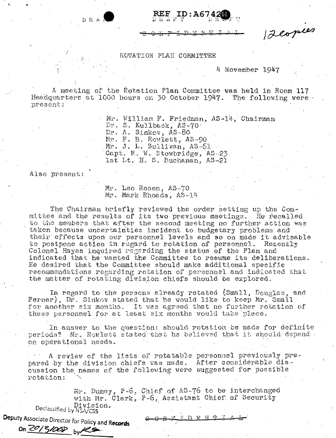12 copies

### ROTATION PLAN COMMITTEE

4 November 1947

A meeting of the Rotation Plan Committee was held in Room 117 Headquarters at 1000 hours on 30 October 1947. The following were present:

> Mr. William F. Friedman, AS-14, Chairman Dr. S. Kullback, AS-70. Dr. A. Sinkov, AS-80 Mr. F. B. Rowlett, AS-90 Mr. J. L. Sullivan, AS-61 Capt. R. W. Stowbridge. AS-23. lst Lt. H. S. Buchanan. AS-21

Also present:

DRAN

Mr. Leo Rosen, AS-70 Mr. Mark Rhoads, AS-14

The Chairman briefly reviewed the order setting up the Committee and the results of its two previous meetings. He recalled to the members that after the second meeting no further action was taken because uncertainties incident to budgetary problems and their effects upon our personnel levels and so on made it advisable to postpone action in regard to rotation of personnel. Recently Colonel Hayes inquired regarding the status of the Plan and indicated that he wanted the Committee to resume its deliberations. He desired that the Committee should make additional specific recommendations regarding rotation of personnel and indicated that the matter of rotating division chiefs should be explored.

In regard to the persons already rotated (Small, Douglas, and Ferner), Dr. Sinkov stated that he would like to keep Mr. Small: for another six months. It was agreed that no further rotation of these personnel for at least six months would take place.

In answer to the question: should rotation be made for definite periods? Mr. Rowlett stated that he believed that it should depend. on operational needs.

A review of the lists of rotatable personnel previously prepared by the division chiefs was made. After considerable discussion the names of the following were suggested for possible rotation:

Mr. Dumey, P-6, Chief of AS-76 to be interchanged<br>with Mr. Clark, P-6, Assistant Chief of Security Declassified by NSA/CSS

 $-0$   $\mathbb{R}$   $\mathbb{R}$   $\mathbb{R}$   $\mathbb{R}$   $\mathbb{R}$   $\mathbb{R}$   $\mathbb{R}$ 

Deputy Associate Director for Policy and Records on 2013/000 by RS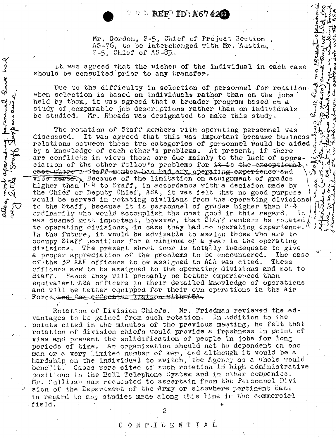$\circ$   $\circ$   $\mathbb{R}$  EF<sup>D</sup> ID<sup>N</sup> A67428

Mr. Gordon, P-5, Chief of Project Section. AS-76, to be interchanged with Mr. Austin, P-5, Chief of AS-83.

م<br>م

Rent.

Cawe.

It was agreed that the wishes of the individual in each case should be consulted prior to any transfer.

fave had

Reverse

aleo, most apera

Due to the difficulty in selection of personnel for rotation When selection is based on individuals rather than on the jobs held by them, it was agreed that a broader program based on a study of comparable job descriptions rather than on individuals be studied. Mr. Rhoads was designated to make this study.

The rotation of Staff members with operating personnel was discussed. It was agreed that this was important because business relations between these two categories of personnel would be aided by a knowledge of each other's problems. At present, if there are conflicts in views these are due mainly to the lack of appreciation of the other fellow's problems for it is the exceptional. cese where steff-member has had any operating experience and ி Vice verse. Because of the limitation on assignment of grades higher than P-4 to Staff, in accordance with a decision made by the Chief or Deputy Chief, ASA, it was felt that no good purpose would be served in rotating civilians from the operating divisions to the Staff, because it is personnel of grades higher than P-4 ordinarily who would accomplish the most good in this regard. It was deemed most important, however, that Staff members be rotated to operating divisions, in case they had no operating experience.<br>In the future, it would be advisable to assign those who are to occupy Staff positions for a minimum of a year in the operating The present short tour is totally inadequate to give divisions. a proper appreciation of the problems to be encountered. The case of the 32 AAF officers to be assigned to A5A was cited. These officers are to be assigned to the operating divisions and not to Hence they will probably be better experienced than Staff. equivalent ASA officers in their detailed knowledge of operations and will be better equipped for their own operations in the Air Force, and for effective ligison with the

Rotation of Division Chiefs. Mr. Friedman reviewed the advantages to be gained from such rotation. In addition to the points cited in the minutes of the previous meeting, he felt that rotation of division chiefs would provide a freshness in point of view and prevent the solidification of people in jobs for long periods of time. An organization should not be dependent on one man or a very limited humber of men, and although it would be a hardship on the individual to switch, the Agency as a whole would Cases were cited of such rotation in high administrative benefit. positions in the Bell Telephone System and in other companies. Mr. Sullivan was requested to ascertain from the Personnel Division of the Department of the Army or elsewhere pertinent data in regard to any studies made along this line in the commercial field.